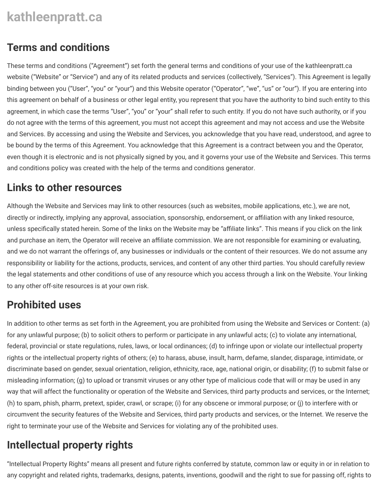# **kathleenpratt.ca**

#### **Terms and conditions**

These terms and conditions ("Agreement") set forth the general terms and conditions of your use of the [kathleenpratt.ca](https://www.kathleenpratt.ca/) website ("Website" or "Service") and any of its related products and services (collectively, "Services"). This Agreement is legally binding between you ("User", "you" or "your") and this Website operator ("Operator", "we", "us" or "our"). If you are entering into this agreement on behalf of a business or other legal entity, you represent that you have the authority to bind such entity to this agreement, in which case the terms "User", "you" or "your" shall refer to such entity. If you do not have such authority, or if you do not agree with the terms of this agreement, you must not accept this agreement and may not access and use the Website and Services. By accessing and using the Website and Services, you acknowledge that you have read, understood, and agree to be bound by the terms of this Agreement. You acknowledge that this Agreement is a contract between you and the Operator, even though it is electronic and is not physically signed by you, and it governs your use of the Website and Services. This terms and conditions policy was created with the help of the [terms and conditions generator.](https://www.websitepolicies.com/terms-and-conditions-generator)

#### **Links to other resources**

Although the Website and Services may link to other resources (such as websites, mobile applications, etc.), we are not, directly or indirectly, implying any approval, association, sponsorship, endorsement, or affiliation with any linked resource, unless specifically stated herein. Some of the links on the Website may be "affiliate links". This means if you click on the link and purchase an item, the Operator will receive an affiliate commission. We are not responsible for examining or evaluating, and we do not warrant the offerings of, any businesses or individuals or the content of their resources. We do not assume any responsibility or liability for the actions, products, services, and content of any other third parties. You should carefully review the legal statements and other conditions of use of any resource which you access through a link on the Website. Your linking to any other off-site resources is at your own risk.

# **Prohibited uses**

In addition to other terms as set forth in the Agreement, you are prohibited from using the Website and Services or Content: (a) for any unlawful purpose; (b) to solicit others to perform or participate in any unlawful acts; (c) to violate any international, federal, provincial or state regulations, rules, laws, or local ordinances; (d) to infringe upon or violate our intellectual property rights or the intellectual property rights of others; (e) to harass, abuse, insult, harm, defame, slander, disparage, intimidate, or discriminate based on gender, sexual orientation, religion, ethnicity, race, age, national origin, or disability; (f) to submit false or misleading information; (g) to upload or transmit viruses or any other type of malicious code that will or may be used in any way that will affect the functionality or operation of the Website and Services, third party products and services, or the Internet; (h) to spam, phish, pharm, pretext, spider, crawl, or scrape; (i) for any obscene or immoral purpose; or (j) to interfere with or circumvent the security features of the Website and Services, third party products and services, or the Internet. We reserve the right to terminate your use of the Website and Services for violating any of the prohibited uses.

# **Intellectual property rights**

"Intellectual Property Rights" means all present and future rights conferred by statute, common law or equity in or in relation to any copyright and related rights, trademarks, designs, patents, inventions, goodwill and the right to sue for passing off, rights to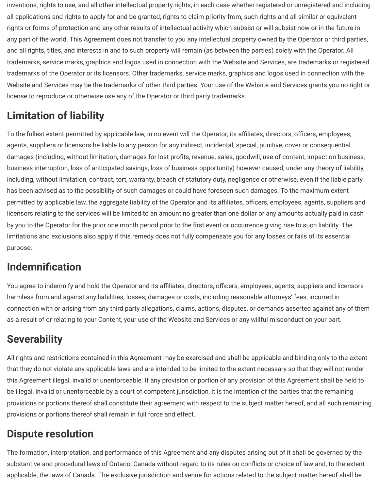inventions, rights to use, and all other intellectual property rights, in each case whether registered or unregistered and including all applications and rights to apply for and be granted, rights to claim priority from, such rights and all similar or equivalent rights or forms of protection and any other results of intellectual activity which subsist or will subsist now or in the future in any part of the world. This Agreement does not transfer to you any intellectual property owned by the Operator or third parties, and all rights, titles, and interests in and to such property will remain (as between the parties) solely with the Operator. All trademarks, service marks, graphics and logos used in connection with the Website and Services, are trademarks or registered trademarks of the Operator or its licensors. Other trademarks, service marks, graphics and logos used in connection with the Website and Services may be the trademarks of other third parties. Your use of the Website and Services grants you no right or license to reproduce or otherwise use any of the Operator or third party trademarks.

# **Limitation of liability**

To the fullest extent permitted by applicable law, in no event will the Operator, its affiliates, directors, officers, employees, agents, suppliers or licensors be liable to any person for any indirect, incidental, special, punitive, cover or consequential damages (including, without limitation, damages for lost profits, revenue, sales, goodwill, use of content, impact on business, business interruption, loss of anticipated savings, loss of business opportunity) however caused, under any theory of liability, including, without limitation, contract, tort, warranty, breach of statutory duty, negligence or otherwise, even if the liable party has been advised as to the possibility of such damages or could have foreseen such damages. To the maximum extent permitted by applicable law, the aggregate liability of the Operator and its affiliates, officers, employees, agents, suppliers and licensors relating to the services will be limited to an amount no greater than one dollar or any amounts actually paid in cash by you to the Operator for the prior one month period prior to the first event or occurrence giving rise to such liability. The limitations and exclusions also apply if this remedy does not fully compensate you for any losses or fails of its essential purpose.

# **Indemnification**

You agree to indemnify and hold the Operator and its affiliates, directors, officers, employees, agents, suppliers and licensors harmless from and against any liabilities, losses, damages or costs, including reasonable attorneys' fees, incurred in connection with or arising from any third party allegations, claims, actions, disputes, or demands asserted against any of them as a result of or relating to your Content, your use of the Website and Services or any willful misconduct on your part.

# **Severability**

All rights and restrictions contained in this Agreement may be exercised and shall be applicable and binding only to the extent that they do not violate any applicable laws and are intended to be limited to the extent necessary so that they will not render this Agreement illegal, invalid or unenforceable. If any provision or portion of any provision of this Agreement shall be held to be illegal, invalid or unenforceable by a court of competent jurisdiction, it is the intention of the parties that the remaining provisions or portions thereof shall constitute their agreement with respect to the subject matter hereof, and all such remaining provisions or portions thereof shall remain in full force and effect.

### **Dispute resolution**

The formation, interpretation, and performance of this Agreement and any disputes arising out of it shall be governed by the substantive and procedural laws of Ontario, Canada without regard to its rules on conflicts or choice of law and, to the extent applicable, the laws of Canada. The exclusive jurisdiction and venue for actions related to the subject matter hereof shall be